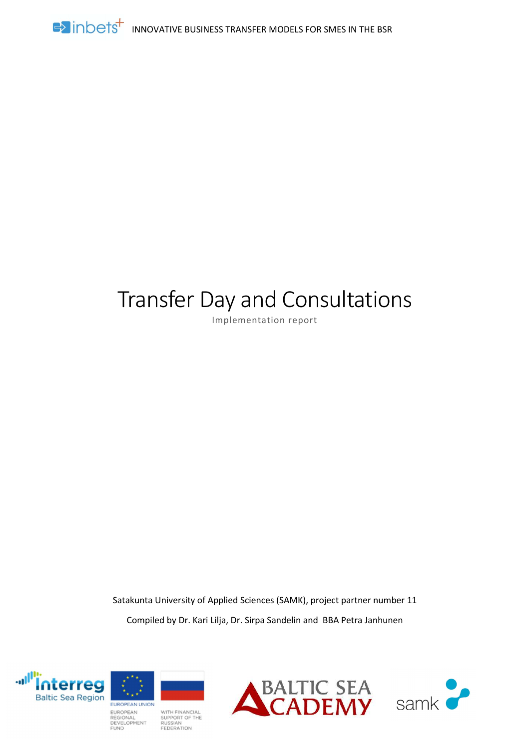

# Transfer Day and Consultations

Implementation report

Satakunta University of Applied Sciences (SAMK), project partner number 11 Compiled by Dr. Kari Lilja, Dr. Sirpa Sandelin and BBA Petra Janhunen





WITH FINANCIAL<br>SUPPORT OF THE<br>RUSSIAN REGIONAL DEVELOPMENT **FEDERATION** 

**FUND** 



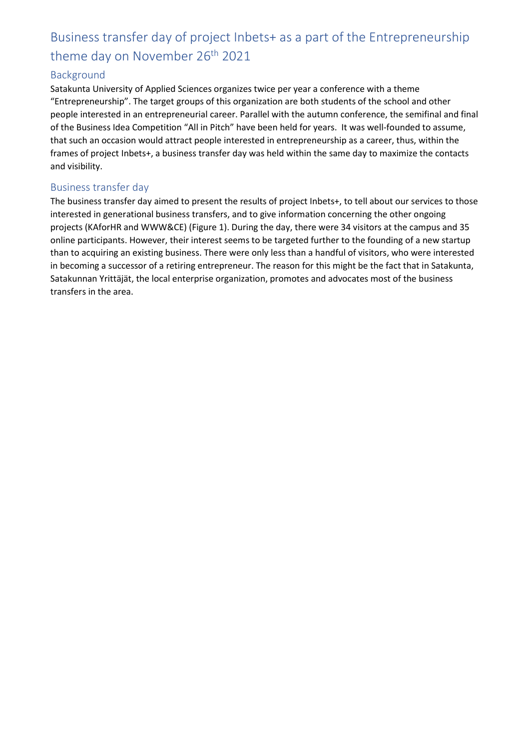## Business transfer day of project Inbets+ as a part of the Entrepreneurship theme day on November 26<sup>th</sup> 2021

## Background

Satakunta University of Applied Sciences organizes twice per year a conference with a theme "Entrepreneurship". The target groups of this organization are both students of the school and other people interested in an entrepreneurial career. Parallel with the autumn conference, the semifinal and final of the Business Idea Competition "All in Pitch" have been held for years. It was well-founded to assume, that such an occasion would attract people interested in entrepreneurship as a career, thus, within the frames of project Inbets+, a business transfer day was held within the same day to maximize the contacts and visibility.

## Business transfer day

The business transfer day aimed to present the results of project Inbets+, to tell about our services to those interested in generational business transfers, and to give information concerning the other ongoing projects (KAforHR and WWW&CE) (Figure 1). During the day, there were 34 visitors at the campus and 35 online participants. However, their interest seems to be targeted further to the founding of a new startup than to acquiring an existing business. There were only less than a handful of visitors, who were interested in becoming a successor of a retiring entrepreneur. The reason for this might be the fact that in Satakunta, Satakunnan Yrittäjät, the local enterprise organization, promotes and advocates most of the business transfers in the area.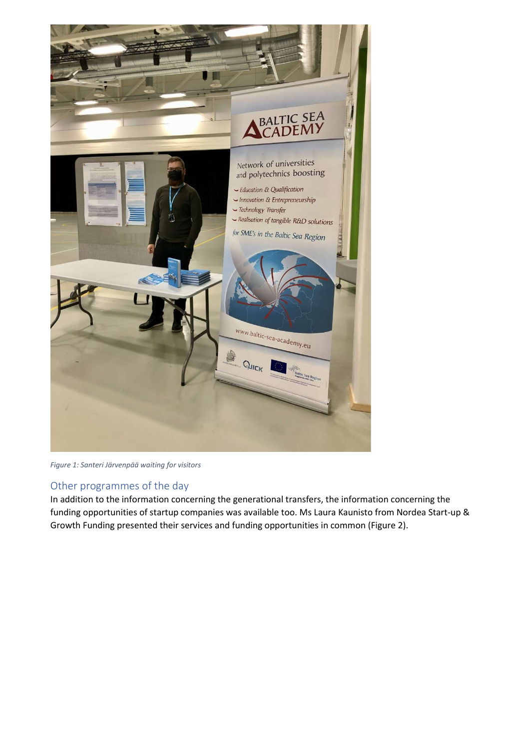

Figure 1: Santeri Järvenpää waiting for visitors

## Other programmes of the day

In addition to the information concerning the generational transfers, the information concerning the funding opportunities of startup companies was available too. Ms Laura Kaunisto from Nordea Start-up & Growth Funding presented their services and funding opportunities in common (Figure 2).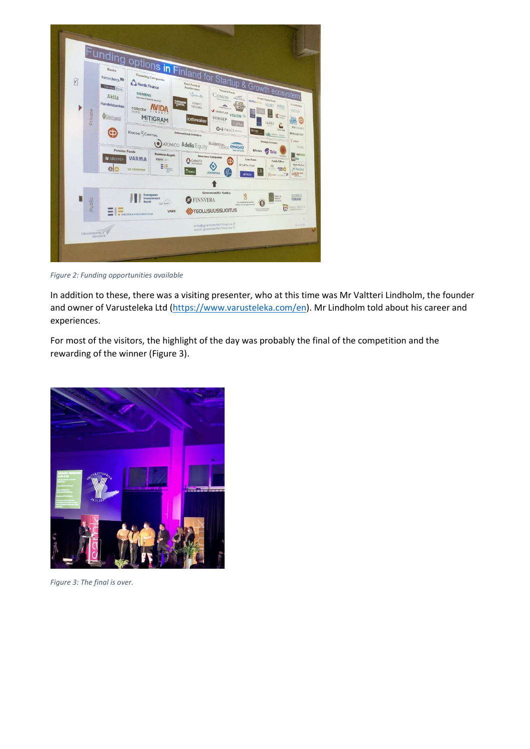| K<br>Private                                   | Funding options in Finland for Startup & Growth ecosystem!<br>Private Equity Funds<br>works.com HELMET INTERA<br>AVANTO<br>Handelsbanken<br><b>ILIFE</b><br><b>VENTURES</b><br>LINET<br><b>Stinessie </b><br>collector<br>W INVENTURE VISION<br>$\frac{MB}{2}$<br>bank<br>Ossastiganki<br><b>MITIGRAM</b><br>VENDEP<br><b>Icebreaker</b><br>VAAKA<br>O->nexit<br><b>Bocop</b><br>KREOS SCAPITAL<br>International investors<br>Strategic investors<br>ATOMICO Adelis Equity<br>Balderton, CNGIC<br><b>Pension Funds</b><br><b>Efortum</b> Telia<br><b>Business Angels</b><br>Insurance Companies<br>VARMA<br><b>RA</b> ILMARINEN<br>FIBAN =<br>Lean Funds<br>ф<br>GARANTIA<br><b>ER CAPITAL FOUR</b><br>ю<br>EIE.<br>Ht<br>elo<br><b>WEBEAN</b><br>$2$ Fennis<br>UB<br>LÄHITAPIOLA<br><b>ARMADA</b> | Crowdiada,<br><b>Nicités</b><br>K ==<br><b>ITING</b><br>G<br>ĉ.<br>PRIVANET<br>TAALERI<br>Westwarten<br>SPRINGVEST<br>Y waan<br>Fundu<br><b><i>DE ROUTURE</i></b><br><b>STARS</b><br><b>Family Offices</b><br>Stock Markets<br>FRATES MONA C<br>He Nasdag<br>O RESERVANTS<br><b>BENNING PERSONAL APR</b> |
|------------------------------------------------|----------------------------------------------------------------------------------------------------------------------------------------------------------------------------------------------------------------------------------------------------------------------------------------------------------------------------------------------------------------------------------------------------------------------------------------------------------------------------------------------------------------------------------------------------------------------------------------------------------------------------------------------------------------------------------------------------------------------------------------------------------------------------------------------------|----------------------------------------------------------------------------------------------------------------------------------------------------------------------------------------------------------------------------------------------------------------------------------------------------------|
| Public<br><b>GRANNENFELT</b><br><b>PINANCE</b> | Government/EU Funding<br>家<br>European<br>Investment<br><b>FINNVERA</b><br>Bank<br>Y/4-is stake manager<br>al best:<br>detailed stringenists<br>$\mathbf{r}$<br><b>COLLISUUSSIJOITUS</b><br><b>VAKE</b><br>. .<br>-<br><b>E BURGPEAN INVESTMENT FUND</b><br>info@grannenfeitfinance.fi<br>www.grannenfeltfinance.fi                                                                                                                                                                                                                                                                                                                                                                                                                                                                                | <b>BUSINESS</b><br><b>FINLAND</b><br><b>Littles</b><br>Distinction (Section)<br>E<br>Handelen<br>10.5.2019                                                                                                                                                                                               |

Figure 2: Funding opportunities available

In addition to these, there was a visiting presenter, who at this time was Mr Valtteri Lindholm, the founder and owner of Varusteleka Ltd (https://www.varusteleka.com/en). Mr Lindholm told about his career and experiences.

For most of the visitors, the highlight of the day was probably the final of the competition and the rewarding of the winner (Figure 3).



Figure 3: The final is over.